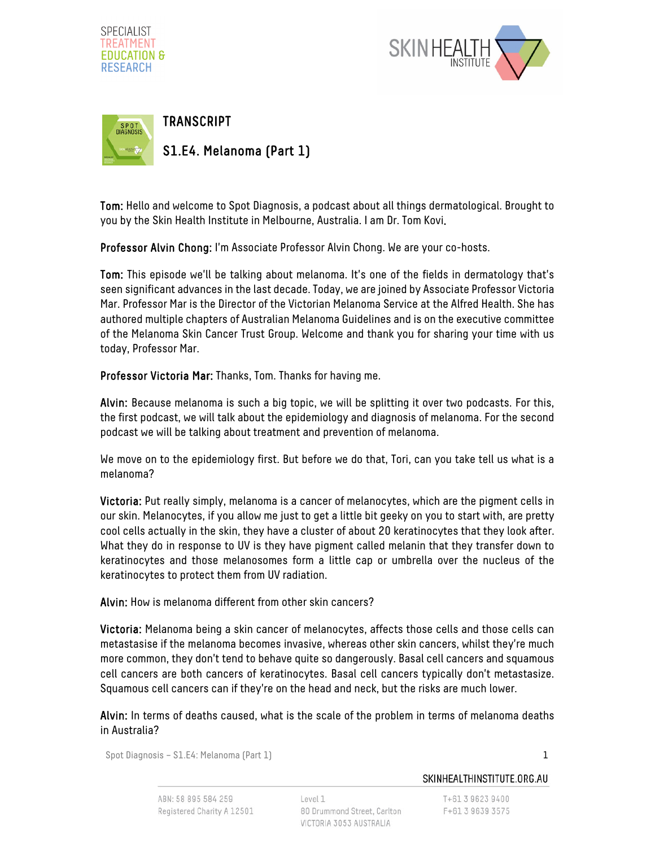





Tom: Hello and welcome to Spot Diagnosis, a podcast about all things dermatological. Brought to you by the Skin Health Institute in Melbourne, Australia. I am Dr. Tom Kovi.

Professor Alvin Chong: I'm Associate Professor Alvin Chong. We are your co-hosts.

Tom: This episode we'll be talking about melanoma. It's one of the fields in dermatology that's seen significant advances in the last decade. Today, we are joined by Associate Professor Victoria Mar. Professor Mar is the Director of the Victorian Melanoma Service at the Alfred Health. She has authored multiple chapters of Australian Melanoma Guidelines and is on the executive committee of the Melanoma Skin Cancer Trust Group. Welcome and thank you for sharing your time with us today, Professor Mar.

Professor Victoria Mar: Thanks, Tom. Thanks for having me.

Alvin: Because melanoma is such a big topic, we will be splitting it over two podcasts. For this, the first podcast, we will talk about the epidemiology and diagnosis of melanoma. For the second podcast we will be talking about treatment and prevention of melanoma.

We move on to the epidemiology first. But before we do that, Tori, can you take tell us what is a melanoma?

Victoria: Put really simply, melanoma is a cancer of melanocytes, which are the pigment cells in our skin. Melanocytes, if you allow me just to get a little bit geeky on you to start with, are pretty cool cells actually in the skin, they have a cluster of about 20 keratinocytes that they look after. What they do in response to UV is they have pigment called melanin that they transfer down to keratinocytes and those melanosomes form a little cap or umbrella over the nucleus of the keratinocytes to protect them from UV radiation.

Alvin: How is melanoma different from other skin cancers?

Victoria: Melanoma being a skin cancer of melanocytes, affects those cells and those cells can metastasise if the melanoma becomes invasive, whereas other skin cancers, whilst they're much more common, they don't tend to behave quite so dangerously. Basal cell cancers and squamous cell cancers are both cancers of keratinocytes. Basal cell cancers typically don't metastasize. Squamous cell cancers can if they're on the head and neck, but the risks are much lower.

Alvin: In terms of deaths caused, what is the scale of the problem in terms of melanoma deaths in Australia?

Spot Diagnosis – S1.E4: Melanoma (Part 1) 1

SKINHEALTHINSTITUTE.ORG.AU

T+61 3 9623 9400 F+61 3 9639 3575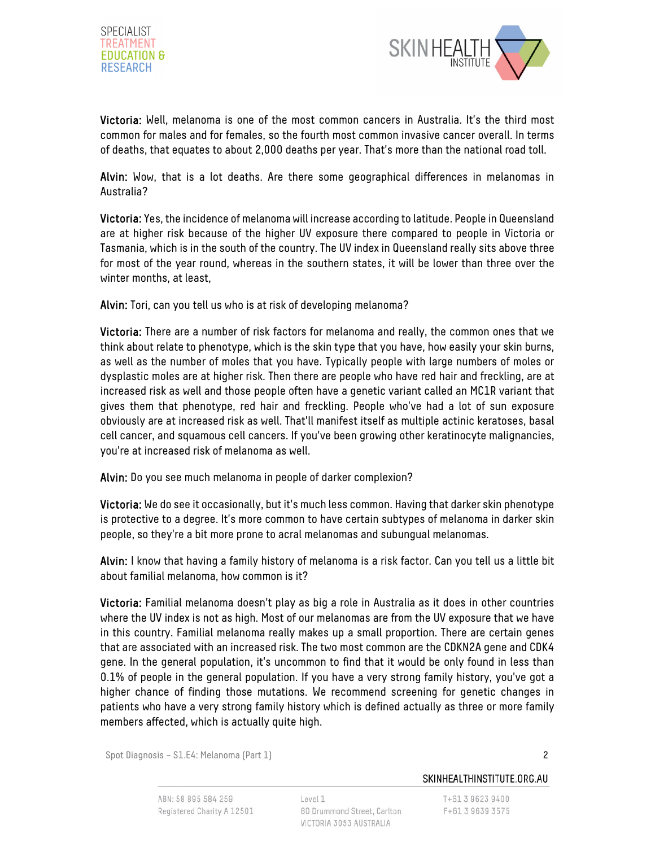



Victoria: Well, melanoma is one of the most common cancers in Australia. It's the third most common for males and for females, so the fourth most common invasive cancer overall. In terms of deaths, that equates to about 2,000 deaths per year. That's more than the national road toll.

Alvin: Wow, that is a lot deaths. Are there some geographical differences in melanomas in Australia?

Victoria: Yes, the incidence of melanoma will increase according to latitude. People in Queensland are at higher risk because of the higher UV exposure there compared to people in Victoria or Tasmania, which is in the south of the country. The UV index in Queensland really sits above three for most of the year round, whereas in the southern states, it will be lower than three over the winter months, at least,

Alvin: Tori, can you tell us who is at risk of developing melanoma?

Victoria: There are a number of risk factors for melanoma and really, the common ones that we think about relate to phenotype, which is the skin type that you have, how easily your skin burns, as well as the number of moles that you have. Typically people with large numbers of moles or dysplastic moles are at higher risk. Then there are people who have red hair and freckling, are at increased risk as well and those people often have a genetic variant called an MC1R variant that gives them that phenotype, red hair and freckling. People who've had a lot of sun exposure obviously are at increased risk as well. That'll manifest itself as multiple actinic keratoses, basal cell cancer, and squamous cell cancers. If you've been growing other keratinocyte malignancies, you're at increased risk of melanoma as well.

Alvin: Do you see much melanoma in people of darker complexion?

Victoria: We do see it occasionally, but it's much less common. Having that darker skin phenotype is protective to a degree. It's more common to have certain subtypes of melanoma in darker skin people, so they're a bit more prone to acral melanomas and subungual melanomas.

Alvin: I know that having a family history of melanoma is a risk factor. Can you tell us a little bit about familial melanoma, how common is it?

Victoria: Familial melanoma doesn't play as big a role in Australia as it does in other countries where the UV index is not as high. Most of our melanomas are from the UV exposure that we have in this country. Familial melanoma really makes up a small proportion. There are certain genes that are associated with an increased risk. The two most common are the CDKN2A gene and CDK4 gene. In the general population, it's uncommon to find that it would be only found in less than 0.1% of people in the general population. If you have a very strong family history, you've got a higher chance of finding those mutations. We recommend screening for genetic changes in patients who have a very strong family history which is defined actually as three or more family members affected, which is actually quite high.

Spot Diagnosis – S1.E4: Melanoma (Part 1) 2

SKINHEALTHINSTITUTE.ORG.AU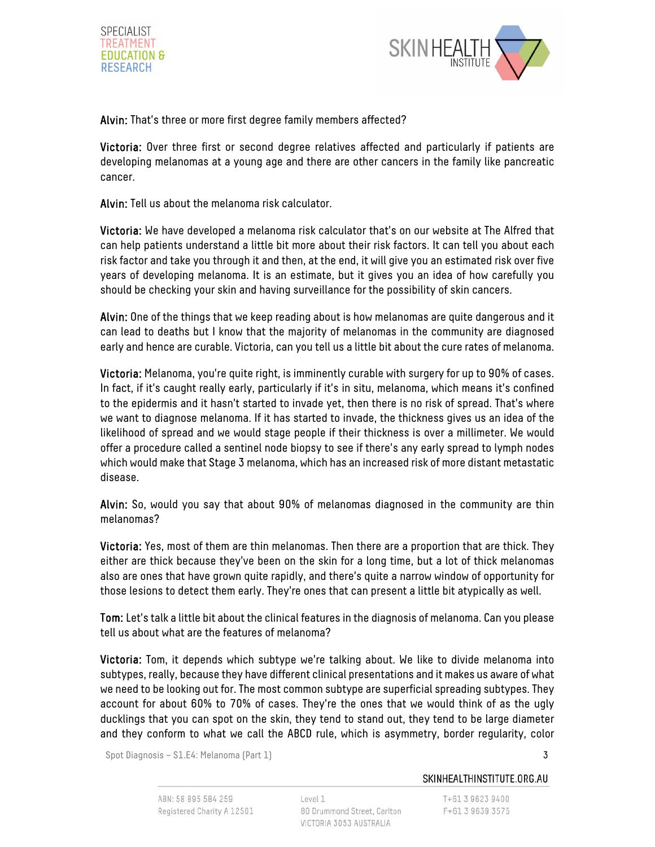



Alvin: That's three or more first degree family members affected?

Victoria: Over three first or second degree relatives affected and particularly if patients are developing melanomas at a young age and there are other cancers in the family like pancreatic cancer.

Alvin: Tell us about the melanoma risk calculator.

Victoria: We have developed a melanoma risk calculator that's on our website at The Alfred that can help patients understand a little bit more about their risk factors. It can tell you about each risk factor and take you through it and then, at the end, it will give you an estimated risk over five years of developing melanoma. It is an estimate, but it gives you an idea of how carefully you should be checking your skin and having surveillance for the possibility of skin cancers.

Alvin: One of the things that we keep reading about is how melanomas are quite dangerous and it can lead to deaths but I know that the majority of melanomas in the community are diagnosed early and hence are curable. Victoria, can you tell us a little bit about the cure rates of melanoma.

Victoria: Melanoma, you're quite right, is imminently curable with surgery for up to 90% of cases. In fact, if it's caught really early, particularly if it's in situ, melanoma, which means it's confined to the epidermis and it hasn't started to invade yet, then there is no risk of spread. That's where we want to diagnose melanoma. If it has started to invade, the thickness gives us an idea of the likelihood of spread and we would stage people if their thickness is over a millimeter. We would offer a procedure called a sentinel node biopsy to see if there's any early spread to lymph nodes which would make that Stage 3 melanoma, which has an increased risk of more distant metastatic disease.

Alvin: So, would you say that about 90% of melanomas diagnosed in the community are thin melanomas?

Victoria: Yes, most of them are thin melanomas. Then there are a proportion that are thick. They either are thick because they've been on the skin for a long time, but a lot of thick melanomas also are ones that have grown quite rapidly, and there's quite a narrow window of opportunity for those lesions to detect them early. They're ones that can present a little bit atypically as well.

Tom: Let's talk a little bit about the clinical features in the diagnosis of melanoma. Can you please tell us about what are the features of melanoma?

Victoria: Tom, it depends which subtype we're talking about. We like to divide melanoma into subtypes, really, because they have different clinical presentations and it makes us aware of what we need to be looking out for. The most common subtype are superficial spreading subtypes. They account for about 60% to 70% of cases. They're the ones that we would think of as the ugly ducklings that you can spot on the skin, they tend to stand out, they tend to be large diameter and they conform to what we call the ABCD rule, which is asymmetry, border regularity, color

Spot Diagnosis – S1.E4: Melanoma (Part 1) 3

SKINHEALTHINSTITUTE.ORG.AU

T+61 3 9623 9400 F+61 3 9639 3575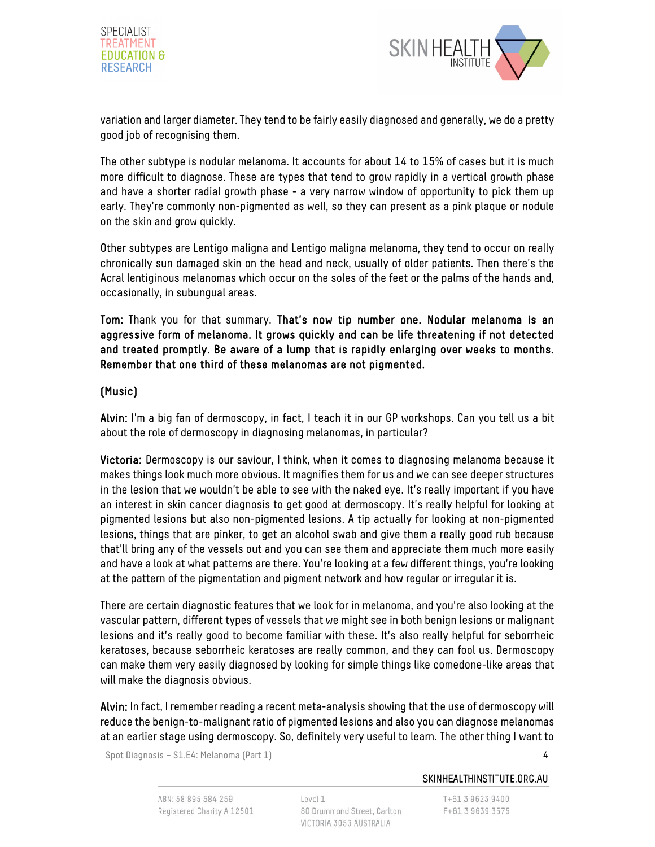



variation and larger diameter. They tend to be fairly easily diagnosed and generally, we do a pretty good job of recognising them.

The other subtype is nodular melanoma. It accounts for about 14 to 15% of cases but it is much more difficult to diagnose. These are types that tend to grow rapidly in a vertical growth phase and have a shorter radial growth phase - a very narrow window of opportunity to pick them up early. They're commonly non-pigmented as well, so they can present as a pink plaque or nodule on the skin and grow quickly.

Other subtypes are Lentigo maligna and Lentigo maligna melanoma, they tend to occur on really chronically sun damaged skin on the head and neck, usually of older patients. Then there's the Acral lentiginous melanomas which occur on the soles of the feet or the palms of the hands and, occasionally, in subungual areas.

Tom: Thank you for that summary. That's now tip number one. Nodular melanoma is an aggressive form of melanoma. It grows quickly and can be life threatening if not detected and treated promptly. Be aware of a lump that is rapidly enlarging over weeks to months. Remember that one third of these melanomas are not pigmented.

## (Music)

Alvin: I'm a big fan of dermoscopy, in fact, I teach it in our GP workshops. Can you tell us a bit about the role of dermoscopy in diagnosing melanomas, in particular?

Victoria: Dermoscopy is our saviour, I think, when it comes to diagnosing melanoma because it makes things look much more obvious. It magnifies them for us and we can see deeper structures in the lesion that we wouldn't be able to see with the naked eye. It's really important if you have an interest in skin cancer diagnosis to get good at dermoscopy. It's really helpful for looking at pigmented lesions but also non-pigmented lesions. A tip actually for looking at non-pigmented lesions, things that are pinker, to get an alcohol swab and give them a really good rub because that'll bring any of the vessels out and you can see them and appreciate them much more easily and have a look at what patterns are there. You're looking at a few different things, you're looking at the pattern of the pigmentation and pigment network and how regular or irregular it is.

There are certain diagnostic features that we look for in melanoma, and you're also looking at the vascular pattern, different types of vessels that we might see in both benign lesions or malignant lesions and it's really good to become familiar with these. It's also really helpful for seborrheic keratoses, because seborrheic keratoses are really common, and they can fool us. Dermoscopy can make them very easily diagnosed by looking for simple things like comedone-like areas that will make the diagnosis obvious.

Alvin: In fact, I remember reading a recent meta-analysis showing that the use of dermoscopy will reduce the benign-to-malignant ratio of pigmented lesions and also you can diagnose melanomas at an earlier stage using dermoscopy. So, definitely very useful to learn. The other thing I want to

Spot Diagnosis – S1.E4: Melanoma (Part 1) 4

### SKINHEALTHINSTITUTE.ORG.AU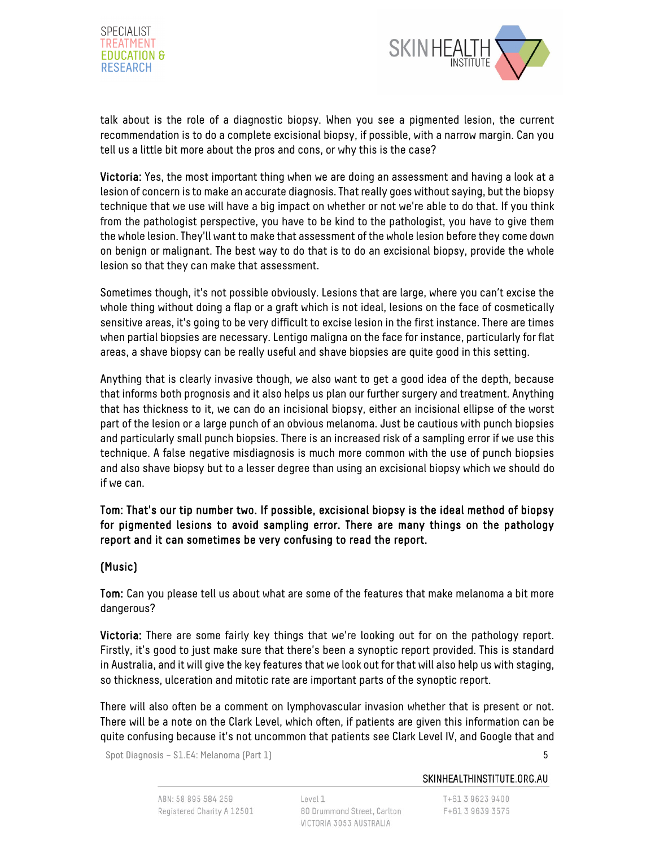



talk about is the role of a diagnostic biopsy. When you see a pigmented lesion, the current recommendation is to do a complete excisional biopsy, if possible, with a narrow margin. Can you tell us a little bit more about the pros and cons, or why this is the case?

Victoria: Yes, the most important thing when we are doing an assessment and having a look at a lesion of concern is to make an accurate diagnosis. That really goes without saying, but the biopsy technique that we use will have a big impact on whether or not we're able to do that. If you think from the pathologist perspective, you have to be kind to the pathologist, you have to give them the whole lesion. They'll want to make that assessment of the whole lesion before they come down on benign or malignant. The best way to do that is to do an excisional biopsy, provide the whole lesion so that they can make that assessment.

Sometimes though, it's not possible obviously. Lesions that are large, where you can't excise the whole thing without doing a flap or a graft which is not ideal, lesions on the face of cosmetically sensitive areas, it's going to be very difficult to excise lesion in the first instance. There are times when partial biopsies are necessary. Lentigo maligna on the face for instance, particularly for flat areas, a shave biopsy can be really useful and shave biopsies are quite good in this setting.

Anything that is clearly invasive though, we also want to get a good idea of the depth, because that informs both prognosis and it also helps us plan our further surgery and treatment. Anything that has thickness to it, we can do an incisional biopsy, either an incisional ellipse of the worst part of the lesion or a large punch of an obvious melanoma. Just be cautious with punch biopsies and particularly small punch biopsies. There is an increased risk of a sampling error if we use this technique. A false negative misdiagnosis is much more common with the use of punch biopsies and also shave biopsy but to a lesser degree than using an excisional biopsy which we should do if we can.

## Tom: That's our tip number two. If possible, excisional biopsy is the ideal method of biopsy for pigmented lesions to avoid sampling error. There are many things on the pathology report and it can sometimes be very confusing to read the report.

# (Music)

Tom: Can you please tell us about what are some of the features that make melanoma a bit more dangerous?

Victoria: There are some fairly key things that we're looking out for on the pathology report. Firstly, it's good to just make sure that there's been a synoptic report provided. This is standard in Australia, and it will give the key features that we look out for that will also help us with staging, so thickness, ulceration and mitotic rate are important parts of the synoptic report.

There will also often be a comment on lymphovascular invasion whether that is present or not. There will be a note on the Clark Level, which often, if patients are given this information can be quite confusing because it's not uncommon that patients see Clark Level IV, and Google that and

Spot Diagnosis – S1.E4: Melanoma (Part 1) 5

### SKINHEALTHINSTITUTE.ORG.AU

T+61 3 9623 9400 F+61 3 9639 3575